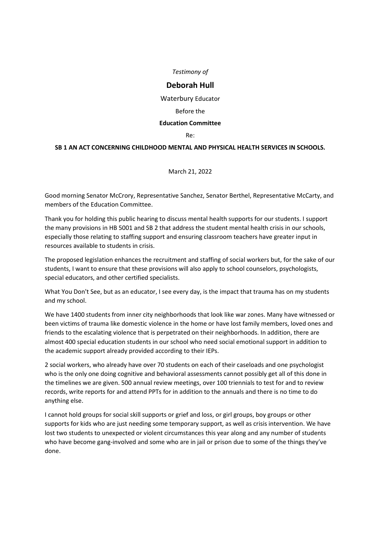*Testimony of*

## **Deborah Hull**

Waterbury Educator

Before the

## **Education Committee**

Re:

## **SB 1 AN ACT CONCERNING CHILDHOOD MENTAL AND PHYSICAL HEALTH SERVICES IN SCHOOLS.**

March 21, 2022

Good morning Senator McCrory, Representative Sanchez, Senator Berthel, Representative McCarty, and members of the Education Committee.

Thank you for holding this public hearing to discuss mental health supports for our students. I support the many provisions in HB 5001 and SB 2 that address the student mental health crisis in our schools, especially those relating to staffing support and ensuring classroom teachers have greater input in resources available to students in crisis.

The proposed legislation enhances the recruitment and staffing of social workers but, for the sake of our students, I want to ensure that these provisions will also apply to school counselors, psychologists, special educators, and other certified specialists.

What You Don't See, but as an educator, I see every day, is the impact that trauma has on my students and my school.

We have 1400 students from inner city neighborhoods that look like war zones. Many have witnessed or been victims of trauma like domestic violence in the home or have lost family members, loved ones and friends to the escalating violence that is perpetrated on their neighborhoods. In addition, there are almost 400 special education students in our school who need social emotional support in addition to the academic support already provided according to their IEPs.

2 social workers, who already have over 70 students on each of their caseloads and one psychologist who is the only one doing cognitive and behavioral assessments cannot possibly get all of this done in the timelines we are given. 500 annual review meetings, over 100 triennials to test for and to review records, write reports for and attend PPTs for in addition to the annuals and there is no time to do anything else.

I cannot hold groups for social skill supports or grief and loss, or girl groups, boy groups or other supports for kids who are just needing some temporary support, as well as crisis intervention. We have lost two students to unexpected or violent circumstances this year along and any number of students who have become gang-involved and some who are in jail or prison due to some of the things they've done.